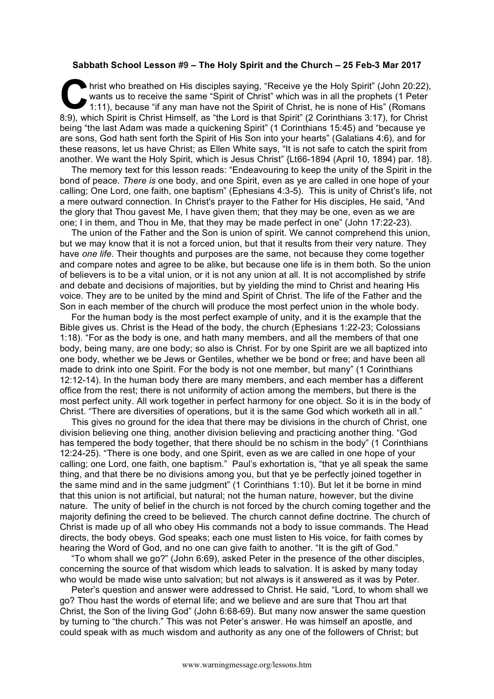## **Sabbath School Lesson #9 – The Holy Spirit and the Church – 25 Feb-3 Mar 2017**

hrist who breathed on His disciples saying, "Receive ye the Holy Spirit" (John 20:22), wants us to receive the same "Spirit of Christ" which was in all the prophets (1 Peter 1:11), because "if any man have not the Spirit of Christ, he is none of His" (Romans 8:9), which Spirit is Christ Himself, as "the Lord is that Spirit" (2 Corinthians 3:17), for Christ being "the last Adam was made a quickening Spirit" (1 Corinthians 15:45) and "because ye are sons, God hath sent forth the Spirit of His Son into your hearts" (Galatians 4:6), and for these reasons, let us have Christ; as Ellen White says, "It is not safe to catch the spirit from another. We want the Holy Spirit, which is Jesus Christ" {Lt66-1894 (April 10, 1894) par. 18}.  $\sum_{\substack{\text{wa}\n\text{min}}}$ 

The memory text for this lesson reads: "Endeavouring to keep the unity of the Spirit in the bond of peace. *There is* one body, and one Spirit, even as ye are called in one hope of your calling; One Lord, one faith, one baptism" (Ephesians 4:3-5). This is unity of Christ's life, not a mere outward connection. In Christ's prayer to the Father for His disciples, He said, "And the glory that Thou gavest Me, I have given them; that they may be one, even as we are one; I in them, and Thou in Me, that they may be made perfect in one" (John 17:22-23).

The union of the Father and the Son is union of spirit. We cannot comprehend this union, but we may know that it is not a forced union, but that it results from their very nature. They have *one life*. Their thoughts and purposes are the same, not because they come together and compare notes and agree to be alike, but because one life is in them both. So the union of believers is to be a vital union, or it is not any union at all. It is not accomplished by strife and debate and decisions of majorities, but by yielding the mind to Christ and hearing His voice. They are to be united by the mind and Spirit of Christ. The life of the Father and the Son in each member of the church will produce the most perfect union in the whole body.

For the human body is the most perfect example of unity, and it is the example that the Bible gives us. Christ is the Head of the body, the church (Ephesians 1:22-23; Colossians 1:18). "For as the body is one, and hath many members, and all the members of that one body, being many, are one body; so also is Christ. For by one Spirit are we all baptized into one body, whether we be Jews or Gentiles, whether we be bond or free; and have been all made to drink into one Spirit. For the body is not one member, but many" (1 Corinthians 12:12-14). In the human body there are many members, and each member has a different office from the rest; there is not uniformity of action among the members, but there is the most perfect unity. All work together in perfect harmony for one object. So it is in the body of Christ. "There are diversities of operations, but it is the same God which worketh all in all."

This gives no ground for the idea that there may be divisions in the church of Christ, one division believing one thing, another division believing and practicing another thing. "God has tempered the body together, that there should be no schism in the body" (1 Corinthians 12:24-25). "There is one body, and one Spirit, even as we are called in one hope of your calling; one Lord, one faith, one baptism." Paul's exhortation is, "that ye all speak the same thing, and that there be no divisions among you, but that ye be perfectly joined together in the same mind and in the same judgment" (1 Corinthians 1:10). But let it be borne in mind that this union is not artificial, but natural; not the human nature, however, but the divine nature. The unity of belief in the church is not forced by the church coming together and the majority defining the creed to be believed. The church cannot define doctrine. The church of Christ is made up of all who obey His commands not a body to issue commands. The Head directs, the body obeys. God speaks; each one must listen to His voice, for faith comes by hearing the Word of God, and no one can give faith to another. "It is the gift of God."

"To whom shall we go?" (John 6:69), asked Peter in the presence of the other disciples, concerning the source of that wisdom which leads to salvation. It is asked by many today who would be made wise unto salvation; but not always is it answered as it was by Peter.

Peter's question and answer were addressed to Christ. He said, "Lord, to whom shall we go? Thou hast the words of eternal life; and we believe and are sure that Thou art that Christ, the Son of the living God" (John 6:68-69). But many now answer the same question by turning to "the church." This was not Peter's answer. He was himself an apostle, and could speak with as much wisdom and authority as any one of the followers of Christ; but